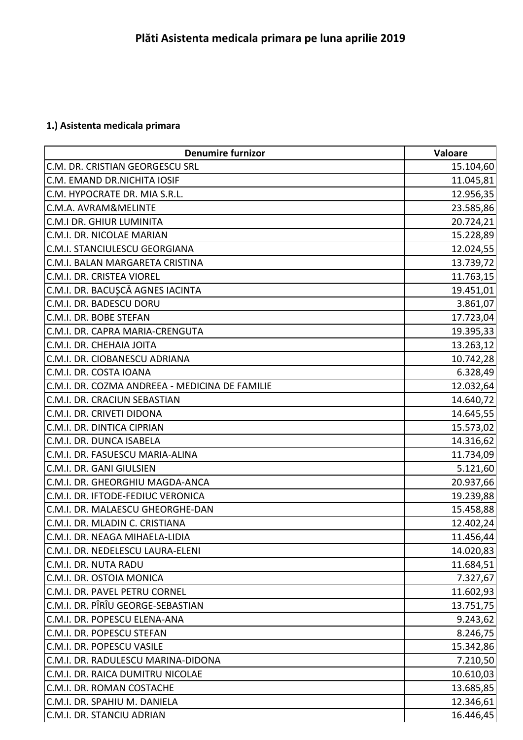## **1.) Asistenta medicala primara**

| <b>Denumire furnizor</b>                       | Valoare   |
|------------------------------------------------|-----------|
| C.M. DR. CRISTIAN GEORGESCU SRL                | 15.104,60 |
| C.M. EMAND DR.NICHITA IOSIF                    | 11.045,81 |
| C.M. HYPOCRATE DR. MIA S.R.L.                  | 12.956,35 |
| C.M.A. AVRAM&MELINTE                           | 23.585,86 |
| C.M.I DR. GHIUR LUMINITA                       | 20.724,21 |
| C.M.I. DR. NICOLAE MARIAN                      | 15.228,89 |
| C.M.I. STANCIULESCU GEORGIANA                  | 12.024,55 |
| C.M.I. BALAN MARGARETA CRISTINA                | 13.739,72 |
| C.M.I. DR. CRISTEA VIOREL                      | 11.763,15 |
| C.M.I. DR. BACUŞCĂ AGNES IACINTA               | 19.451,01 |
| C.M.I. DR. BADESCU DORU                        | 3.861,07  |
| C.M.I. DR. BOBE STEFAN                         | 17.723,04 |
| C.M.I. DR. CAPRA MARIA-CRENGUTA                | 19.395,33 |
| C.M.I. DR. CHEHAIA JOITA                       | 13.263,12 |
| C.M.I. DR. CIOBANESCU ADRIANA                  | 10.742,28 |
| C.M.I. DR. COSTA IOANA                         | 6.328,49  |
| C.M.I. DR. COZMA ANDREEA - MEDICINA DE FAMILIE | 12.032,64 |
| C.M.I. DR. CRACIUN SEBASTIAN                   | 14.640,72 |
| C.M.I. DR. CRIVETI DIDONA                      | 14.645,55 |
| C.M.I. DR. DINTICA CIPRIAN                     | 15.573,02 |
| C.M.I. DR. DUNCA ISABELA                       | 14.316,62 |
| C.M.I. DR. FASUESCU MARIA-ALINA                | 11.734,09 |
| C.M.I. DR. GANI GIULSIEN                       | 5.121,60  |
| C.M.I. DR. GHEORGHIU MAGDA-ANCA                | 20.937,66 |
| C.M.I. DR. IFTODE-FEDIUC VERONICA              | 19.239,88 |
| C.M.I. DR. MALAESCU GHEORGHE-DAN               | 15.458,88 |
| C.M.I. DR. MLADIN C. CRISTIANA                 | 12.402,24 |
| C.M.I. DR. NEAGA MIHAELA-LIDIA                 | 11.456,44 |
| C.M.I. DR. NEDELESCU LAURA-ELENI               | 14.020,83 |
| C.M.I. DR. NUTA RADU                           | 11.684,51 |
| C.M.I. DR. OSTOIA MONICA                       | 7.327,67  |
| C.M.I. DR. PAVEL PETRU CORNEL                  | 11.602,93 |
| C.M.I. DR. PÎRÎU GEORGE-SEBASTIAN              | 13.751,75 |
| C.M.I. DR. POPESCU ELENA-ANA                   | 9.243,62  |
| C.M.I. DR. POPESCU STEFAN                      | 8.246,75  |
| C.M.I. DR. POPESCU VASILE                      | 15.342,86 |
| C.M.I. DR. RADULESCU MARINA-DIDONA             | 7.210,50  |
| C.M.I. DR. RAICA DUMITRU NICOLAE               | 10.610,03 |
| C.M.I. DR. ROMAN COSTACHE                      | 13.685,85 |
| C.M.I. DR. SPAHIU M. DANIELA                   | 12.346,61 |
| C.M.I. DR. STANCIU ADRIAN                      | 16.446,45 |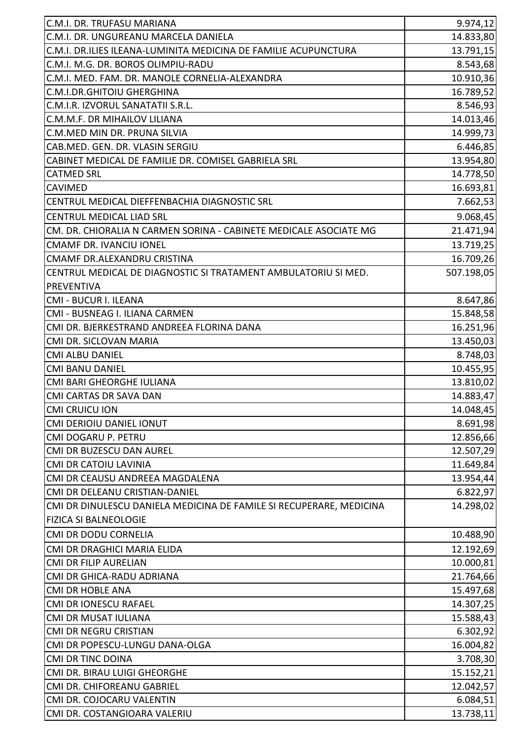| C.M.I. DR. TRUFASU MARIANA                                          | 9.974, 12  |
|---------------------------------------------------------------------|------------|
| C.M.I. DR. UNGUREANU MARCELA DANIELA                                | 14.833,80  |
| C.M.I. DR.ILIES ILEANA-LUMINITA MEDICINA DE FAMILIE ACUPUNCTURA     | 13.791,15  |
| C.M.I. M.G. DR. BOROS OLIMPIU-RADU                                  | 8.543,68   |
| C.M.I. MED. FAM. DR. MANOLE CORNELIA-ALEXANDRA                      | 10.910,36  |
| C.M.I.DR.GHITOIU GHERGHINA                                          | 16.789,52  |
| C.M.I.R. IZVORUL SANATATII S.R.L.                                   | 8.546,93   |
| C.M.M.F. DR MIHAILOV LILIANA                                        | 14.013,46  |
| C.M.MED MIN DR. PRUNA SILVIA                                        | 14.999,73  |
| CAB.MED. GEN. DR. VLASIN SERGIU                                     | 6.446,85   |
| CABINET MEDICAL DE FAMILIE DR. COMISEL GABRIELA SRL                 | 13.954,80  |
| <b>CATMED SRL</b>                                                   | 14.778,50  |
| <b>CAVIMED</b>                                                      | 16.693,81  |
| CENTRUL MEDICAL DIEFFENBACHIA DIAGNOSTIC SRL                        | 7.662,53   |
| <b>CENTRUL MEDICAL LIAD SRL</b>                                     | 9.068,45   |
| CM. DR. CHIORALIA N CARMEN SORINA - CABINETE MEDICALE ASOCIATE MG   | 21.471,94  |
| <b>CMAMF DR. IVANCIU IONEL</b>                                      | 13.719,25  |
| CMAMF DR.ALEXANDRU CRISTINA                                         | 16.709,26  |
| CENTRUL MEDICAL DE DIAGNOSTIC SI TRATAMENT AMBULATORIU SI MED.      | 507.198,05 |
| <b>PREVENTIVA</b>                                                   |            |
| CMI - BUCUR I. ILEANA                                               | 8.647,86   |
| CMI - BUSNEAG I. ILIANA CARMEN                                      | 15.848,58  |
| CMI DR. BJERKESTRAND ANDREEA FLORINA DANA                           | 16.251,96  |
| CMI DR. SICLOVAN MARIA                                              | 13.450,03  |
| <b>CMI ALBU DANIEL</b>                                              | 8.748,03   |
| <b>CMI BANU DANIEL</b>                                              | 10.455,95  |
| CMI BARI GHEORGHE IULIANA                                           | 13.810,02  |
| <b>CMI CARTAS DR SAVA DAN</b>                                       | 14.883,47  |
| <b>CMI CRUICU ION</b>                                               | 14.048,45  |
| CMI DERIOIU DANIEL IONUT                                            | 8.691,98   |
| CMI DOGARU P. PETRU                                                 | 12.856,66  |
| CMI DR BUZESCU DAN AUREL                                            | 12.507,29  |
| <b>CMI DR CATOIU LAVINIA</b>                                        | 11.649,84  |
| CMI DR CEAUSU ANDREEA MAGDALENA                                     | 13.954,44  |
| CMI DR DELEANU CRISTIAN-DANIEL                                      | 6.822,97   |
| CMI DR DINULESCU DANIELA MEDICINA DE FAMILE SI RECUPERARE, MEDICINA | 14.298,02  |
| <b>FIZICA SI BALNEOLOGIE</b>                                        |            |
| CMI DR DODU CORNELIA                                                | 10.488,90  |
| CMI DR DRAGHICI MARIA ELIDA                                         | 12.192,69  |
| <b>CMI DR FILIP AURELIAN</b>                                        | 10.000,81  |
| CMI DR GHICA-RADU ADRIANA                                           | 21.764,66  |
| CMI DR HOBLE ANA                                                    | 15.497,68  |
| <b>CMI DR IONESCU RAFAEL</b>                                        | 14.307,25  |
| CMI DR MUSAT IULIANA                                                | 15.588,43  |
| CMI DR NEGRU CRISTIAN                                               | 6.302,92   |
| CMI DR POPESCU-LUNGU DANA-OLGA                                      | 16.004,82  |
| <b>CMI DR TINC DOINA</b>                                            | 3.708,30   |
| CMI DR. BIRAU LUIGI GHEORGHE                                        | 15.152,21  |
| CMI DR. CHIFOREANU GABRIEL                                          | 12.042,57  |
| CMI DR. COJOCARU VALENTIN                                           | 6.084,51   |
| CMI DR. COSTANGIOARA VALERIU                                        | 13.738,11  |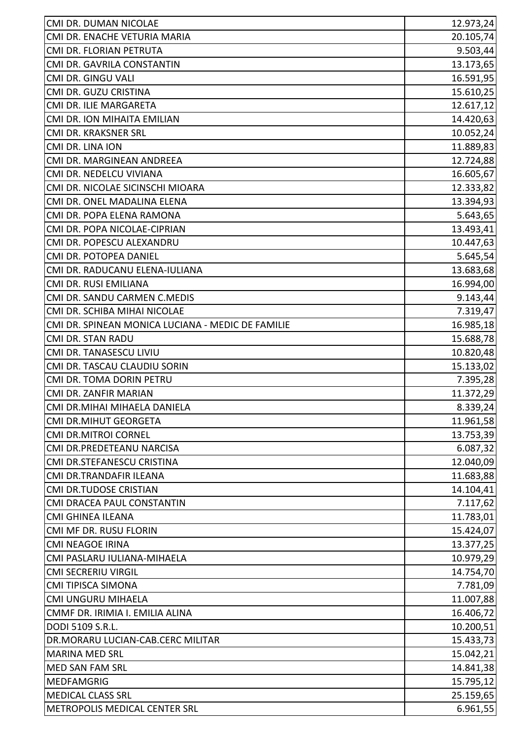| CMI DR. DUMAN NICOLAE                             | 12.973,24 |
|---------------------------------------------------|-----------|
| CMI DR. ENACHE VETURIA MARIA                      | 20.105,74 |
| CMI DR. FLORIAN PETRUTA                           | 9.503,44  |
| CMI DR. GAVRILA CONSTANTIN                        | 13.173,65 |
| CMI DR. GINGU VALI                                | 16.591,95 |
| CMI DR. GUZU CRISTINA                             | 15.610,25 |
| CMI DR. ILIE MARGARETA                            | 12.617,12 |
| CMI DR. ION MIHAITA EMILIAN                       | 14.420,63 |
| CMI DR. KRAKSNER SRL                              | 10.052,24 |
| CMI DR. LINA ION                                  | 11.889,83 |
| CMI DR. MARGINEAN ANDREEA                         | 12.724,88 |
| CMI DR. NEDELCU VIVIANA                           | 16.605,67 |
| CMI DR. NICOLAE SICINSCHI MIOARA                  | 12.333,82 |
| CMI DR. ONEL MADALINA ELENA                       | 13.394,93 |
| CMI DR. POPA ELENA RAMONA                         | 5.643,65  |
| CMI DR. POPA NICOLAE-CIPRIAN                      | 13.493,41 |
| CMI DR. POPESCU ALEXANDRU                         | 10.447,63 |
| CMI DR. POTOPEA DANIEL                            | 5.645,54  |
| CMI DR. RADUCANU ELENA-IULIANA                    | 13.683,68 |
| CMI DR. RUSI EMILIANA                             | 16.994,00 |
| CMI DR. SANDU CARMEN C.MEDIS                      | 9.143,44  |
| CMI DR. SCHIBA MIHAI NICOLAE                      | 7.319,47  |
| CMI DR. SPINEAN MONICA LUCIANA - MEDIC DE FAMILIE | 16.985,18 |
| <b>CMI DR. STAN RADU</b>                          | 15.688,78 |
| CMI DR. TANASESCU LIVIU                           | 10.820,48 |
| CMI DR. TASCAU CLAUDIU SORIN                      | 15.133,02 |
| CMI DR. TOMA DORIN PETRU                          | 7.395,28  |
| CMI DR. ZANFIR MARIAN                             | 11.372,29 |
| CMI DR.MIHAI MIHAELA DANIELA                      | 8.339,24  |
| <b>CMI DR.MIHUT GEORGETA</b>                      | 11.961,58 |
| <b>CMI DR.MITROI CORNEL</b>                       | 13.753,39 |
| CMI DR.PREDETEANU NARCISA                         | 6.087,32  |
| CMI DR.STEFANESCU CRISTINA                        | 12.040,09 |
| CMI DR.TRANDAFIR ILEANA                           | 11.683,88 |
| CMI DR.TUDOSE CRISTIAN                            | 14.104,41 |
| CMI DRACEA PAUL CONSTANTIN                        | 7.117,62  |
| <b>CMI GHINEA ILEANA</b>                          | 11.783,01 |
| CMI MF DR. RUSU FLORIN                            | 15.424,07 |
| <b>CMI NEAGOE IRINA</b>                           | 13.377,25 |
| CMI PASLARU IULIANA-MIHAELA                       | 10.979,29 |
| <b>CMI SECRERIU VIRGIL</b>                        | 14.754,70 |
| <b>CMI TIPISCA SIMONA</b>                         | 7.781,09  |
| CMI UNGURU MIHAELA                                | 11.007,88 |
| CMMF DR. IRIMIA I. EMILIA ALINA                   | 16.406,72 |
| DODI 5109 S.R.L.                                  | 10.200,51 |
| DR.MORARU LUCIAN-CAB.CERC MILITAR                 | 15.433,73 |
| <b>MARINA MED SRL</b>                             | 15.042,21 |
| MED SAN FAM SRL                                   | 14.841,38 |
| <b>MEDFAMGRIG</b>                                 | 15.795,12 |
| <b>MEDICAL CLASS SRL</b>                          | 25.159,65 |
| METROPOLIS MEDICAL CENTER SRL                     | 6.961,55  |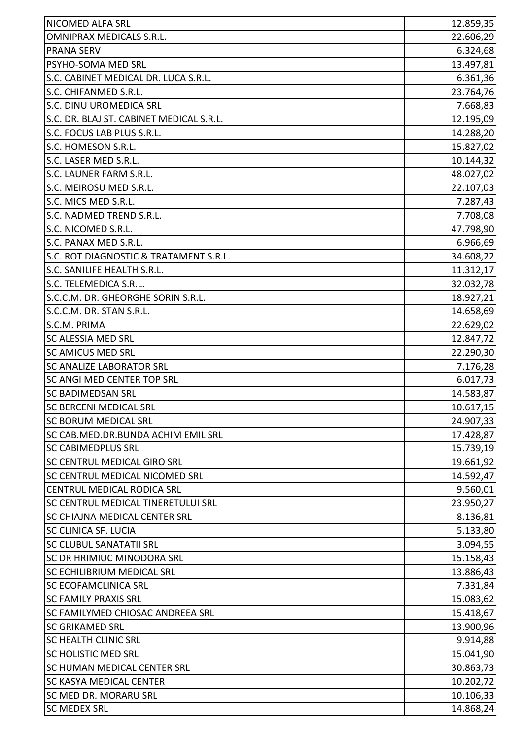| NICOMED ALFA SRL                         | 12.859,35 |
|------------------------------------------|-----------|
| <b>OMNIPRAX MEDICALS S.R.L.</b>          | 22.606,29 |
| <b>PRANA SERV</b>                        | 6.324,68  |
| <b>PSYHO-SOMA MED SRL</b>                | 13.497,81 |
| S.C. CABINET MEDICAL DR. LUCA S.R.L.     | 6.361,36  |
| S.C. CHIFANMED S.R.L.                    | 23.764,76 |
| S.C. DINU UROMEDICA SRL                  | 7.668,83  |
| S.C. DR. BLAJ ST. CABINET MEDICAL S.R.L. | 12.195,09 |
| S.C. FOCUS LAB PLUS S.R.L.               | 14.288,20 |
| S.C. HOMESON S.R.L.                      | 15.827,02 |
| S.C. LASER MED S.R.L.                    | 10.144,32 |
| S.C. LAUNER FARM S.R.L.                  | 48.027,02 |
| S.C. MEIROSU MED S.R.L.                  | 22.107,03 |
| S.C. MICS MED S.R.L.                     | 7.287,43  |
| S.C. NADMED TREND S.R.L.                 | 7.708,08  |
| S.C. NICOMED S.R.L.                      | 47.798,90 |
| S.C. PANAX MED S.R.L.                    | 6.966,69  |
| S.C. ROT DIAGNOSTIC & TRATAMENT S.R.L.   | 34.608,22 |
| S.C. SANILIFE HEALTH S.R.L.              | 11.312,17 |
| S.C. TELEMEDICA S.R.L.                   | 32.032,78 |
| S.C.C.M. DR. GHEORGHE SORIN S.R.L.       | 18.927,21 |
| S.C.C.M. DR. STAN S.R.L.                 | 14.658,69 |
| S.C.M. PRIMA                             | 22.629,02 |
| <b>SC ALESSIA MED SRL</b>                | 12.847,72 |
| <b>SC AMICUS MED SRL</b>                 | 22.290,30 |
| <b>SC ANALIZE LABORATOR SRL</b>          | 7.176,28  |
| SC ANGI MED CENTER TOP SRL               | 6.017,73  |
| <b>SC BADIMEDSAN SRL</b>                 | 14.583,87 |
| ISC BERCENI MEDICAL SRL                  | 10.617,15 |
| <b>SC BORUM MEDICAL SRL</b>              | 24.907,33 |
| SC CAB.MED.DR.BUNDA ACHIM EMIL SRL       | 17.428,87 |
| <b>SC CABIMEDPLUS SRL</b>                | 15.739,19 |
| <b>SC CENTRUL MEDICAL GIRO SRL</b>       | 19.661,92 |
| <b>SC CENTRUL MEDICAL NICOMED SRL</b>    | 14.592,47 |
| <b>CENTRUL MEDICAL RODICA SRL</b>        | 9.560,01  |
| SC CENTRUL MEDICAL TINERETULUI SRL       | 23.950,27 |
| <b>SC CHIAJNA MEDICAL CENTER SRL</b>     | 8.136,81  |
| <b>SC CLINICA SF. LUCIA</b>              | 5.133,80  |
| SC CLUBUL SANATATII SRL                  | 3.094,55  |
| SC DR HRIMIUC MINODORA SRL               | 15.158,43 |
| <b>SC ECHILIBRIUM MEDICAL SRL</b>        | 13.886,43 |
| <b>SC ECOFAMCLINICA SRL</b>              | 7.331,84  |
| <b>SC FAMILY PRAXIS SRL</b>              | 15.083,62 |
| <b>SC FAMILYMED CHIOSAC ANDREEA SRL</b>  | 15.418,67 |
| <b>SC GRIKAMED SRL</b>                   | 13.900,96 |
| <b>SC HEALTH CLINIC SRL</b>              | 9.914,88  |
| <b>SC HOLISTIC MED SRL</b>               | 15.041,90 |
| <b>SC HUMAN MEDICAL CENTER SRL</b>       | 30.863,73 |
| <b>SC KASYA MEDICAL CENTER</b>           | 10.202,72 |
| SC MED DR. MORARU SRL                    | 10.106,33 |
| <b>SC MEDEX SRL</b>                      | 14.868,24 |